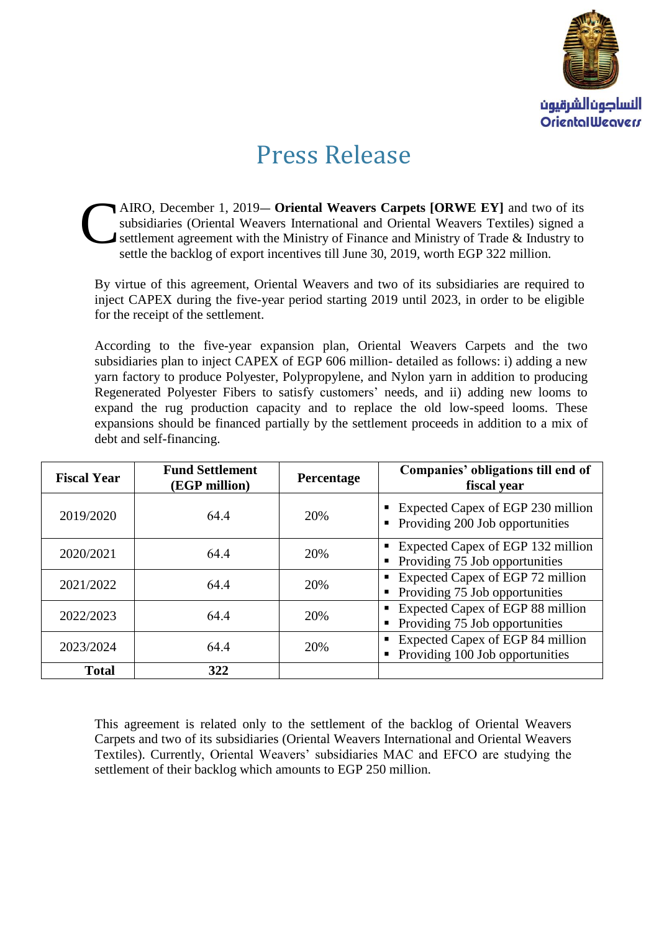

## Press Release

AIRO, December 1, 2019**― Oriental Weavers Carpets [ORWE EY]** and two of its subsidiaries (Oriental Weavers International and Oriental Weavers Textiles) signed a settlement agreement with the Ministry of Finance and Ministry of Trade & Industry to settle the backlog of export incentives till June 30, 2019, worth EGP 322 million. C

By virtue of this agreement, Oriental Weavers and two of its subsidiaries are required to inject CAPEX during the five-year period starting 2019 until 2023, in order to be eligible for the receipt of the settlement.

According to the five-year expansion plan, Oriental Weavers Carpets and the two subsidiaries plan to inject CAPEX of EGP 606 million- detailed as follows: i) adding a new yarn factory to produce Polyester, Polypropylene, and Nylon yarn in addition to producing Regenerated Polyester Fibers to satisfy customers' needs, and ii) adding new looms to expand the rug production capacity and to replace the old low-speed looms. These expansions should be financed partially by the settlement proceeds in addition to a mix of debt and self-financing.

| <b>Fiscal Year</b> | <b>Fund Settlement</b><br>(EGP million) | <b>Percentage</b> | Companies' obligations till end of<br>fiscal year                                     |
|--------------------|-----------------------------------------|-------------------|---------------------------------------------------------------------------------------|
| 2019/2020          | 64.4                                    | 20%               | • Expected Capex of EGP 230 million<br>$\blacksquare$ Providing 200 Job opportunities |
| 2020/2021          | 64.4                                    | 20%               | Expected Capex of EGP 132 million<br>• Providing 75 Job opportunities                 |
| 2021/2022          | 64.4                                    | 20%               | • Expected Capex of EGP 72 million<br>• Providing 75 Job opportunities                |
| 2022/2023          | 64.4                                    | 20%               | Expected Capex of EGP 88 million<br>• Providing 75 Job opportunities                  |
| 2023/2024          | 64.4                                    | 20%               | Expected Capex of EGP 84 million<br>• Providing 100 Job opportunities                 |
| <b>Total</b>       | 322                                     |                   |                                                                                       |

This agreement is related only to the settlement of the backlog of Oriental Weavers Carpets and two of its subsidiaries (Oriental Weavers International and Oriental Weavers Textiles). Currently, Oriental Weavers' subsidiaries MAC and EFCO are studying the settlement of their backlog which amounts to EGP 250 million.